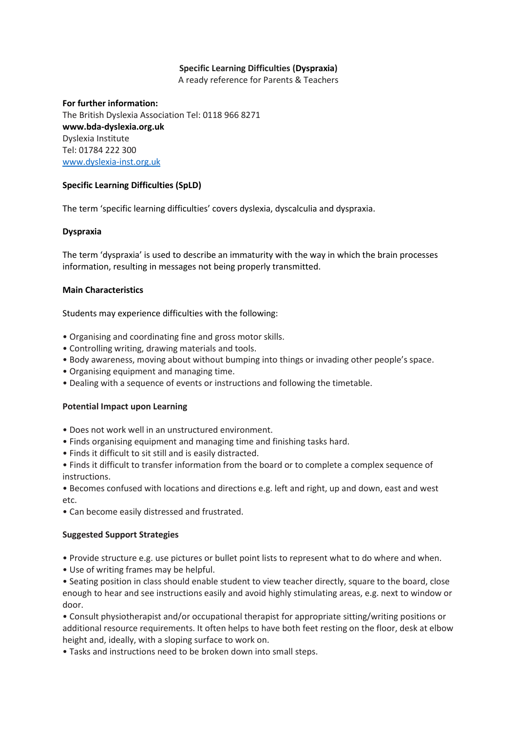# **Specific Learning Difficulties (Dyspraxia)**

A ready reference for Parents & Teachers

### **For further information:**

The British Dyslexia Association Tel: 0118 966 8271 **www.bda-dyslexia.org.uk** Dyslexia Institute Tel: 01784 222 300 [www.dyslexia-inst.org.uk](http://www.dyslexia-inst.org.uk/)

### **Specific Learning Difficulties (SpLD)**

The term 'specific learning difficulties' covers dyslexia, dyscalculia and dyspraxia.

#### **Dyspraxia**

The term 'dyspraxia' is used to describe an immaturity with the way in which the brain processes information, resulting in messages not being properly transmitted.

#### **Main Characteristics**

Students may experience difficulties with the following:

- Organising and coordinating fine and gross motor skills.
- Controlling writing, drawing materials and tools.
- Body awareness, moving about without bumping into things or invading other people's space.
- Organising equipment and managing time.
- Dealing with a sequence of events or instructions and following the timetable.

### **Potential Impact upon Learning**

- Does not work well in an unstructured environment.
- Finds organising equipment and managing time and finishing tasks hard.
- Finds it difficult to sit still and is easily distracted.
- Finds it difficult to transfer information from the board or to complete a complex sequence of instructions.
- Becomes confused with locations and directions e.g. left and right, up and down, east and west etc.
- Can become easily distressed and frustrated.

### **Suggested Support Strategies**

- Provide structure e.g. use pictures or bullet point lists to represent what to do where and when.
- Use of writing frames may be helpful.

• Seating position in class should enable student to view teacher directly, square to the board, close enough to hear and see instructions easily and avoid highly stimulating areas, e.g. next to window or door.

• Consult physiotherapist and/or occupational therapist for appropriate sitting/writing positions or additional resource requirements. It often helps to have both feet resting on the floor, desk at elbow height and, ideally, with a sloping surface to work on.

• Tasks and instructions need to be broken down into small steps.